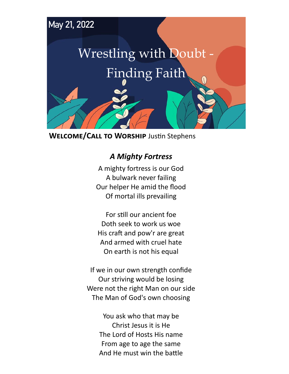

**Welcome/Call to Worship** Justin Stephens

## *A Mighty Fortress*

A mighty fortress is our God A bulwark never failing Our helper He amid the flood Of mortal ills prevailing

For still our ancient foe Doth seek to work us woe His craft and pow'r are great And armed with cruel hate On earth is not his equal

If we in our own strength confide Our striving would be losing Were not the right Man on our side The Man of God's own choosing

> You ask who that may be Christ Jesus it is He The Lord of Hosts His name From age to age the same And He must win the battle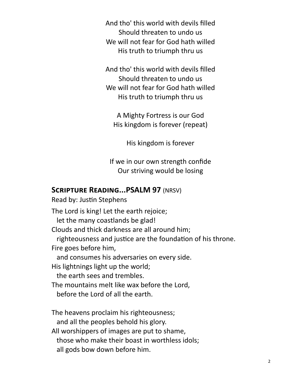And tho' this world with devils filled Should threaten to undo us We will not fear for God hath willed His truth to triumph thru us

And tho' this world with devils filled Should threaten to undo us We will not fear for God hath willed His truth to triumph thru us

A Mighty Fortress is our God His kingdom is forever (repeat)

His kingdom is forever

If we in our own strength confide Our striving would be losing

#### **Scripture Reading...PSALM 97** (NRSV)

Read by: Justin Stephens The Lord is king! Let the earth rejoice; let the many coastlands be glad! Clouds and thick darkness are all around him; righteousness and justice are the foundation of his throne. Fire goes before him, and consumes his adversaries on every side. His lightnings light up the world; the earth sees and trembles. The mountains melt like wax before the Lord, before the Lord of all the earth. The heavens proclaim his righteousness; and all the peoples behold his glory. All worshippers of images are put to shame, those who make their boast in worthless idols;

all gods bow down before him.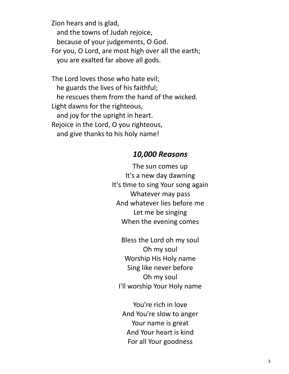Zion hears and is glad, and the towns of Judah rejoice, because of your judgements, O God. For you, O Lord, are most high over all the earth; you are exalted far above all gods.

The Lord loves those who hate evil; he guards the lives of his faithful; he rescues them from the hand of the wicked. Light dawns for the righteous, and joy for the upright in heart. Rejoice in the Lord, O you righteous, and give thanks to his holy name!

### *10,000 Reasons*

The sun comes up It's a new day dawning It's time to sing Your song again Whatever may pass And whatever lies before me Let me be singing When the evening comes

Bless the Lord oh my soul Oh my soul Worship His Holy name Sing like never before Oh my soul I'll worship Your Holy name

You're rich in love And You're slow to anger Your name is great And Your heart is kind For all Your goodness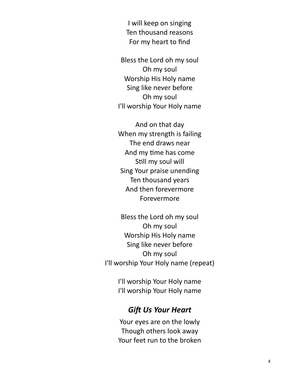I will keep on singing Ten thousand reasons For my heart to find

Bless the Lord oh my soul Oh my soul Worship His Holy name Sing like never before Oh my soul I'll worship Your Holy name

And on that day When my strength is failing The end draws near And my time has come Still my soul will Sing Your praise unending Ten thousand years And then forevermore Forevermore

Bless the Lord oh my soul Oh my soul Worship His Holy name Sing like never before Oh my soul I'll worship Your Holy name (repeat)

> I'll worship Your Holy name I'll worship Your Holy name

### *Gift Us Your Heart*

Your eyes are on the lowly Though others look away Your feet run to the broken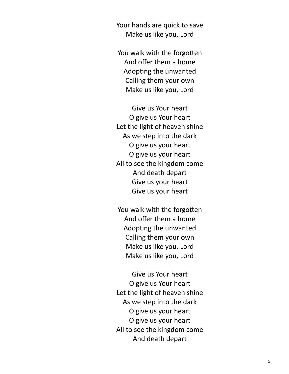Your hands are quick to save Make us like you, Lord

You walk with the forgotten And offer them a home Adopting the unwanted Calling them your own Make us like you, Lord

Give us Your heart O give us Your heart Let the light of heaven shine As we step into the dark O give us your heart O give us your heart All to see the kingdom come And death depart Give us your heart Give us your heart

You walk with the forgotten And offer them a home Adopting the unwanted Calling them your own Make us like you, Lord Make us like you, Lord

Give us Your heart O give us Your heart Let the light of heaven shine As we step into the dark O give us your heart O give us your heart All to see the kingdom come And death depart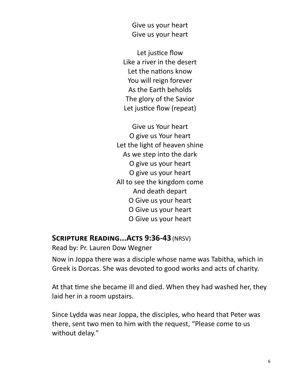Give us your heart Give us your heart

Let justice flow Like a river in the desert Let the nations know You will reign forever As the Earth beholds The glory of the Savior Let justice flow (repeat)

Give us Your heart O give us Your heart Let the light of heaven shine As we step into the dark O give us your heart O give us your heart All to see the kingdom come And death depart O Give us your heart O Give us your heart O Give us your heart

#### **Scripture Reading...Acts 9:36-43**(NRSV)

Read by: Pr. Lauren Dow Wegner

Now in Joppa there was a disciple whose name was Tabitha, which in Greek is Dorcas. She was devoted to good works and acts of charity.

At that time she became ill and died. When they had washed her, they laid her in a room upstairs.

Since Lydda was near Joppa, the disciples, who heard that Peter was there, sent two men to him with the request, "Please come to us without delay."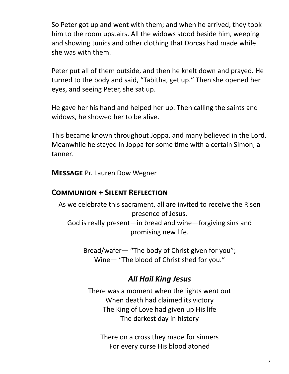So Peter got up and went with them; and when he arrived, they took him to the room upstairs. All the widows stood beside him, weeping and showing tunics and other clothing that Dorcas had made while she was with them.

Peter put all of them outside, and then he knelt down and prayed. He turned to the body and said, "Tabitha, get up." Then she opened her eyes, and seeing Peter, she sat up.

He gave her his hand and helped her up. Then calling the saints and widows, he showed her to be alive.

This became known throughout Joppa, and many believed in the Lord. Meanwhile he stayed in Joppa for some time with a certain Simon, a tanner.

**Message** Pr. Lauren Dow Wegner

## **Communion + Silent Reflection**

As we celebrate this sacrament, all are invited to receive the Risen presence of Jesus. God is really present—in bread and wine—forgiving sins and promising new life.

> Bread/wafer— "The body of Christ given for you"; Wine— "The blood of Christ shed for you."

## *All Hail King Jesus*

There was a moment when the lights went out When death had claimed its victory The King of Love had given up His life The darkest day in history

There on a cross they made for sinners For every curse His blood atoned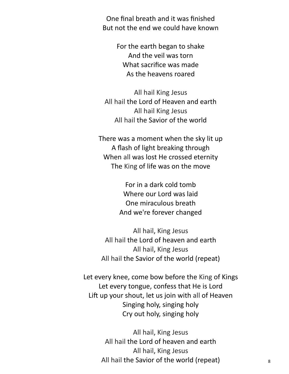One final breath and it was finished But not the end we could have known

> For the earth began to shake And the veil was torn What sacrifice was made As the heavens roared

All hail King Jesus All hail the Lord of Heaven and earth All hail King Jesus All hail the Savior of the world

There was a moment when the sky lit up A flash of light breaking through When all was lost He crossed eternity The King of life was on the move

> For in a dark cold tomb Where our Lord was laid One miraculous breath And we're forever changed

All hail, King Jesus All hail the Lord of heaven and earth All hail, King Jesus All hail the Savior of the world (repeat)

Let every knee, come bow before the King of Kings Let every tongue, confess that He is Lord Lift up your shout, let us join with all of Heaven Singing holy, singing holy Cry out holy, singing holy

> All hail, King Jesus All hail the Lord of heaven and earth All hail, King Jesus All hail the Savior of the world (repeat)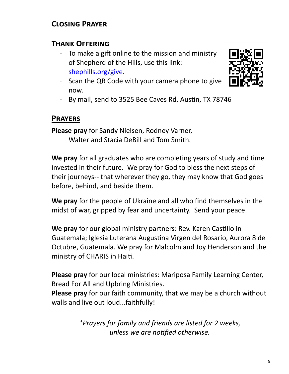## **Closing Prayer**

## **Thank Offering**

- $\cdot$  To make a gift online to the mission and ministry of Shepherd of the Hills, use this link: [shephills.org/give.](https://shephills.org/give/)
- · Scan the QR Code with your camera phone to give now.



By mail, send to 3525 Bee Caves Rd, Austin, TX 78746

## **Prayers**

**Please pray** for Sandy Nielsen, Rodney Varner, Walter and Stacia DeBill and Tom Smith.

**We pray** for all graduates who are completing years of study and time invested in their future. We pray for God to bless the next steps of their journeys-- that wherever they go, they may know that God goes before, behind, and beside them.

**We pray** for the people of Ukraine and all who find themselves in the midst of war, gripped by fear and uncertainty. Send your peace.

**We pray** for our global ministry partners: Rev. Karen Castillo in Guatemala; Iglesia Luterana Augustina Virgen del Rosario, Aurora 8 de Octubre, Guatemala. We pray for Malcolm and Joy Henderson and the ministry of CHARIS in Haiti.

**Please pray** for our local ministries: Mariposa Family Learning Center, Bread For All and Upbring Ministries.

**Please pray** for our faith community, that we may be a church without walls and live out loud...faithfully!

> *\*Prayers for family and friends are listed for 2 weeks, unless we are notified otherwise.*